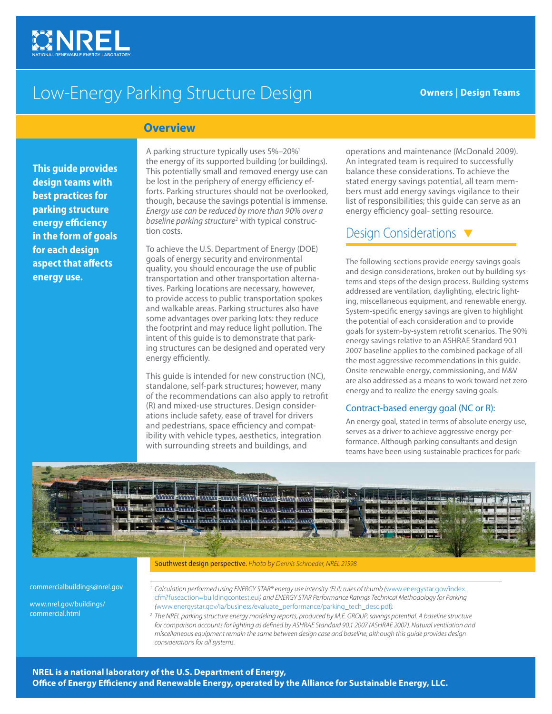

# Low-Energy Parking Structure Design **Communist Communist Pesign Teams**

### **Overview**

**This guide provides design teams with best practices for parking structure energy efficiency in the form of goals for each design aspect that affects energy use.**

A parking structure typically uses 5%–20%1 the energy of its supported building (or buildings). This potentially small and removed energy use can be lost in the periphery of energy efficiency efforts. Parking structures should not be overlooked, though, because the savings potential is immense. *Energy use can be reduced by more than 90% over a*  baseline parking structure<sup>2</sup> with typical construction costs.

To achieve the U.S. Department of Energy (DOE) goals of energy security and environmental quality, you should encourage the use of public transportation and other transportation alternatives. Parking locations are necessary, however, to provide access to public transportation spokes and walkable areas. Parking structures also have some advantages over parking lots: they reduce the footprint and may reduce light pollution. The intent of this guide is to demonstrate that parking structures can be designed and operated very energy efficiently.

This guide is intended for new construction (NC), standalone, self-park structures; however, many of the recommendations can also apply to retrofit (R) and mixed-use structures. Design considerations include safety, ease of travel for drivers and pedestrians, space efficiency and compatibility with vehicle types, aesthetics, integration with surrounding streets and buildings, and

operations and maintenance (McDonald 2009). An integrated team is required to successfully balance these considerations. To achieve the stated energy savings potential, all team members must add energy savings vigilance to their list of responsibilities; this guide can serve as an energy efficiency goal- setting resource.

### Design Considerations  $\blacktriangledown$

The following sections provide energy savings goals and design considerations, broken out by building systems and steps of the design process. Building systems addressed are ventilation, daylighting, electric lighting, miscellaneous equipment, and renewable energy. System-specific energy savings are given to highlight the potential of each consideration and to provide goals for system-by-system retrofit scenarios. The 90% energy savings relative to an ASHRAE Standard 90.1 2007 baseline applies to the combined package of all the most aggressive recommendations in this guide. Onsite renewable energy, commissioning, and M&V are also addressed as a means to work toward net zero energy and to realize the energy saving goals.

#### Contract-based energy goal (NC or R):

An energy goal, stated in terms of absolute energy use, serves as a driver to achieve aggressive energy performance. Although parking consultants and design teams have been using sustainable practices for park-



#### Southwest design perspective. *Photo by Dennis Schroeder, NREL 21598*

commercialbuildings@nrel.gov

www.nrel.gov/buildings/ commercial.html

*<sup>1</sup> Calculation performed using ENERGY STAR® energy use intensity (EUI) rules of thumb (*www.energystar.gov/index. cfm?fuseaction=buildingcontest.eui*) and ENERGY STAR Performance Ratings Technical Methodology for Parking (*www.energystar.gov/ia/business/evaluate\_performance/parking\_tech\_desc.pdf*).* 

*<sup>2</sup> The NREL parking structure energy modeling reports, produced by M.E. GROUP, savings potential. A baseline structure for comparison accounts for lighting as defined by ASHRAE Standard 90.1 2007 (ASHRAE 2007). Natural ventilation and miscellaneous equipment remain the same between design case and baseline, although this guide provides design considerations for all systems.*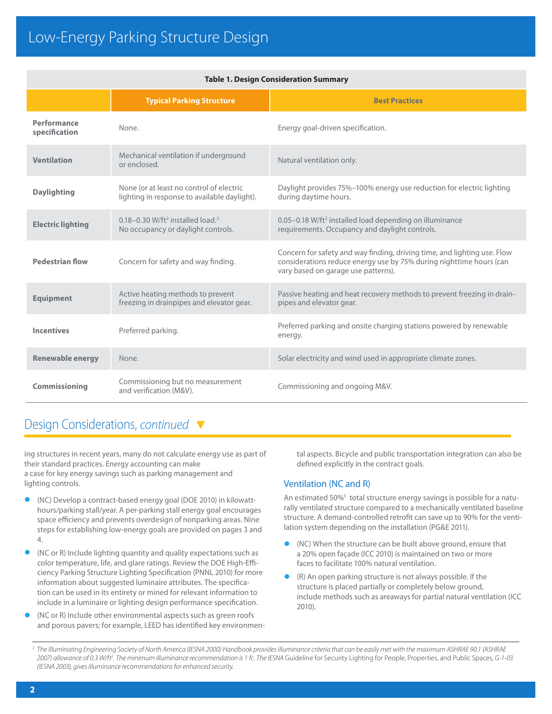|                              | <b>Typical Parking Structure</b>                                                                   | <b>Best Practices</b>                                                                                                                                                                  |  |  |  |  |  |  |
|------------------------------|----------------------------------------------------------------------------------------------------|----------------------------------------------------------------------------------------------------------------------------------------------------------------------------------------|--|--|--|--|--|--|
| Performance<br>specification | None.                                                                                              | Energy goal-driven specification.                                                                                                                                                      |  |  |  |  |  |  |
| <b>Ventilation</b>           | Mechanical ventilation if underground<br>or enclosed.                                              | Natural ventilation only.                                                                                                                                                              |  |  |  |  |  |  |
| <b>Daylighting</b>           | None (or at least no control of electric<br>lighting in response to available daylight).           | Daylight provides 75%-100% energy use reduction for electric lighting<br>during daytime hours.                                                                                         |  |  |  |  |  |  |
| <b>Electric lighting</b>     | $0.18 - 0.30$ W/ft <sup>2</sup> installed load. <sup>3</sup><br>No occupancy or daylight controls. | 0.05-0.18 W/ft <sup>2</sup> installed load depending on illuminance<br>requirements. Occupancy and daylight controls.                                                                  |  |  |  |  |  |  |
| <b>Pedestrian flow</b>       | Concern for safety and way finding.                                                                | Concern for safety and way finding, driving time, and lighting use. Flow<br>considerations reduce energy use by 75% during nighttime hours (can<br>vary based on garage use patterns). |  |  |  |  |  |  |
| <b>Equipment</b>             | Active heating methods to prevent<br>freezing in drainpipes and elevator gear.                     | Passive heating and heat recovery methods to prevent freezing in drain-<br>pipes and elevator gear.                                                                                    |  |  |  |  |  |  |
| <b>Incentives</b>            | Preferred parking.                                                                                 | Preferred parking and onsite charging stations powered by renewable<br>energy.                                                                                                         |  |  |  |  |  |  |
| <b>Renewable energy</b>      | None.                                                                                              | Solar electricity and wind used in appropriate climate zones.                                                                                                                          |  |  |  |  |  |  |
| Commissioning                | Commissioning but no measurement<br>and verification (M&V).                                        | Commissioning and ongoing M&V.                                                                                                                                                         |  |  |  |  |  |  |

#### **Table 1. Design Consideration Summary**

### Design Considerations, *continued*

ing structures in recent years, many do not calculate energy use as part of their standard practices. Energy accounting can make a case for key energy savings such as parking management and lighting controls.

- **•** (NC) Develop a contract-based energy goal (DOE 2010) in kilowatthours/parking stall/year. A per-parking stall energy goal encourages space efficiency and prevents overdesign of nonparking areas. Nine steps for establishing low-energy goals are provided on pages 3 and 4.
- **•** (NC or R) Include lighting quantity and quality expectations such as color temperature, life, and glare ratings. Review the DOE High-Efficiency Parking Structure Lighting Specification (PNNL 2010) for more information about suggested luminaire attributes. The specification can be used in its entirety or mined for relevant information to include in a luminaire or lighting design performance specification.
- **•** (NC or R) Include other environmental aspects such as green roofs and porous pavers; for example, LEED has identified key environmen-

tal aspects. Bicycle and public transportation integration can also be defined explicitly in the contract goals.

#### Ventilation (NC and R)

An estimated 50%<sup>5</sup> total structure energy savings is possible for a naturally ventilated structure compared to a mechanically ventilated baseline structure. A demand-controlled retrofit can save up to 90% for the ventilation system depending on the installation (PG&E 2011).

- **•** (NC) When the structure can be built above ground, ensure that a 20% open façade (ICC 2010) is maintained on two or more faces to facilitate 100% natural ventilation.
- **•** (R) An open parking structure is not always possible. If the structure is placed partially or completely below ground, include methods such as areaways for partial natural ventilation (ICC 2010).

<sup>&</sup>lt;sup>3</sup> The Illuminating Engineering Society of North America (IESNA 2000) Handbook provides illuminance criteria that can be easily met with the maximum ASHRAE 90.1 (ASHRAE *2007) allowance of 0.3 W/ft2 . The minimum illuminance recommendation is 1 fc. The IESNA* Guideline for Security Lighting for People, Properties, and Public Spaces*, G-1-03 (IESNA 2003), gives illuminance recommendations for enhanced security.*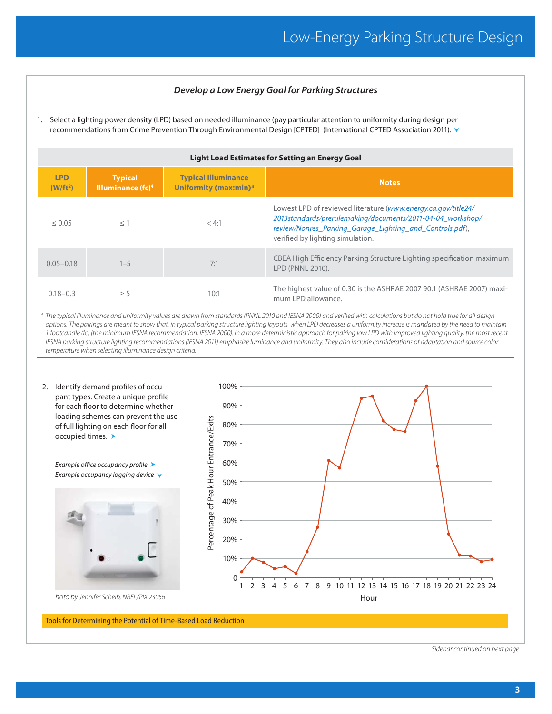#### *Develop a Low Energy Goal for Parking Structures*

1. Select a lighting power density (LPD) based on needed illuminance (pay particular attention to uniformity during design per recommendations from Crime Prevention Through Environmental Design [CPTED] (International CPTED Association 2011).

| Light Load Estimates for Setting an Energy Goal |                                                          |                                                                 |                                                                                                                                                                                                                             |  |  |  |  |  |
|-------------------------------------------------|----------------------------------------------------------|-----------------------------------------------------------------|-----------------------------------------------------------------------------------------------------------------------------------------------------------------------------------------------------------------------------|--|--|--|--|--|
| <b>LPD</b><br>(W/ft <sup>2</sup> )              | <b>Typical</b><br>Illuminance $(\mathbf{f}\mathbf{c})^4$ | <b>Typical Illuminance</b><br>Uniformity (max:min) <sup>4</sup> | <b>Notes</b>                                                                                                                                                                                                                |  |  |  |  |  |
| $\leq 0.05$                                     | $<$ 1                                                    | < 4:1                                                           | Lowest LPD of reviewed literature (www.energy.ca.gov/title24/<br>2013standards/prerulemaking/documents/2011-04-04 workshop/<br>review/Nonres Parking Garage Lighting and Controls.pdf),<br>verified by lighting simulation. |  |  |  |  |  |
| $0.05 - 0.18$                                   | $1 - 5$                                                  | 7:1                                                             | CBEA High Efficiency Parking Structure Lighting specification maximum<br>LPD (PNNL 2010).                                                                                                                                   |  |  |  |  |  |
| $0.18 - 0.3$                                    | $\geq$ 5                                                 | 10:1                                                            | The highest value of 0.30 is the ASHRAE 2007 90.1 (ASHRAE 2007) maxi-<br>mum I PD allowance.                                                                                                                                |  |  |  |  |  |

*4 The typical illuminance and uniformity values are drawn from standards (PNNL 2010 and IESNA 2000) and verified with calculations but do not hold true for all design options. The pairings are meant to show that, in typical parking structure lighting layouts, when LPD decreases a uniformity increase is mandated by the need to maintain 1 footcandle (fc) (the minimum IESNA recommendation, IESNA 2000). In a more deterministic approach for pairing low LPD with improved lighting quality, the most recent IESNA parking structure lighting recommendations (IESNA 2011) emphasize luminance and uniformity. They also include considerations of adaptation and source color temperature when selecting illuminance design criteria.*



Tools for Determining the Potential of Time-Based Load Reduction

*Sidebar continued on next page*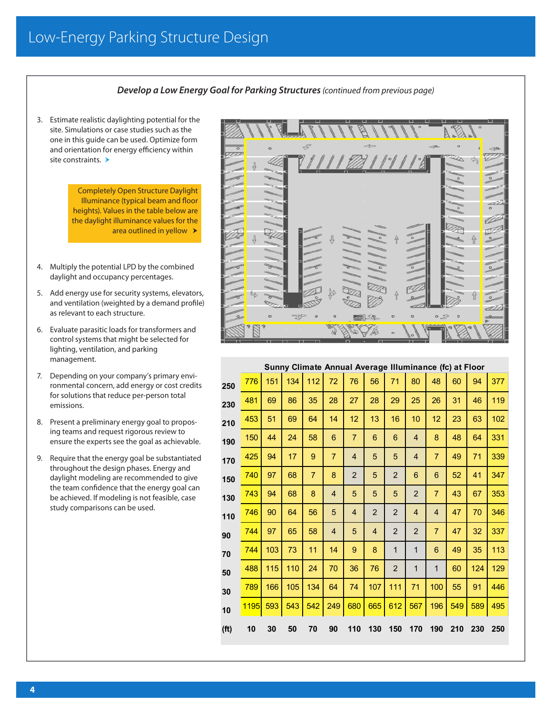#### *Develop a Low Energy Goal for Parking Structures (continued from previous page)*

3. Estimate realistic daylighting potential for the site. Simulations or case studies such as the one in this guide can be used. Optimize form and orientation for energy efficiency within site constraints. >

> Completely Open Structure Daylight Illuminance (typical beam and floor heights). Values in the table below are the daylight illuminance values for the area outlined in yellow  $\rightarrow$

- 4. Multiply the potential LPD by the combined daylight and occupancy percentages.
- 5. Add energy use for security systems, elevators, and ventilation (weighted by a demand profile) as relevant to each structure.
- 6. Evaluate parasitic loads for transformers and control systems that might be selected for lighting, ventilation, and parking management.
- 7. Depending on your company's primary environmental concern, add energy or cost credits for solutions that reduce per-person total emissions.
- 8. Present a preliminary energy goal to proposing teams and request rigorous review to ensure the experts see the goal as achievable.
- 9. Require that the energy goal be substantiated throughout the design phases. Energy and daylight modeling are recommended to give the team confidence that the energy goal can be achieved. If modeling is not feasible, case study comparisons can be used.



#### **Sunny Climate Annual Average Illuminance (fc) at Floor**

| 250               | 776         | 151 | 134 | 112            | 72             | 76             | 56             | 71             | 80             | 48             | 60  | 94  | 377 |
|-------------------|-------------|-----|-----|----------------|----------------|----------------|----------------|----------------|----------------|----------------|-----|-----|-----|
| 230               | 481         | 69  | 86  | 35             | 28             | 27             | 28             | 29             | 25             | 26             | 31  | 46  | 119 |
| 210               | 453         | 51  | 69  | 64             | 14             | 12             | 13             | 16             | 10             | 12             | 23  | 63  | 102 |
| 190               | 150         | 44  | 24  | 58             | 6              | $\overline{7}$ | 6              | 6              | $\overline{4}$ | 8              | 48  | 64  | 331 |
| 170               | 425         | 94  | 17  | 9              | $\overline{7}$ | $\overline{4}$ | 5              | 5              | $\overline{4}$ | $\overline{7}$ | 49  | 71  | 339 |
| 150               | 740         | 97  | 68  | $\overline{7}$ | 8              | $\overline{2}$ | 5              | $\overline{2}$ | 6              | 6              | 52  | 41  | 347 |
| 130               | 743         | 94  | 68  | 8              | $\overline{4}$ | 5              | 5              | 5              | $\overline{2}$ | $\overline{7}$ | 43  | 67  | 353 |
| 110               | 746         | 90  | 64  | 56             | 5              | $\overline{4}$ | $\overline{c}$ | $\overline{2}$ | $\overline{4}$ | $\overline{4}$ | 47  | 70  | 346 |
| 90                | 744         | 97  | 65  | 58             | $\overline{4}$ | 5              | $\overline{4}$ | $\overline{2}$ | $\overline{2}$ | $\overline{7}$ | 47  | 32  | 337 |
| 70                | 744         | 103 | 73  | 11             | 14             | 9              | 8              | $\mathbf{1}$   | $\mathbf 1$    | 6              | 49  | 35  | 113 |
| 50                | 488         | 115 | 110 | 24             | 70             | 36             | 76             | $\overline{2}$ | $\mathbf{1}$   | $\mathbf 1$    | 60  | 124 | 129 |
| 30                | 789         | 166 | 105 | 134            | 64             | 74             | 107            | 111            | 71             | 100            | 55  | 91  | 446 |
| 10                | <b>1195</b> | 593 | 543 | 542            | 249            | 680            | 665            | 612            | 567            | 196            | 549 | 589 | 495 |
| (f <sup>t</sup> ) | 10          | 30  | 50  | 70             | 90             | 110            | 130            | 150            | 170            | 190            | 210 | 230 | 250 |
|                   |             |     |     |                |                |                |                |                |                |                |     |     |     |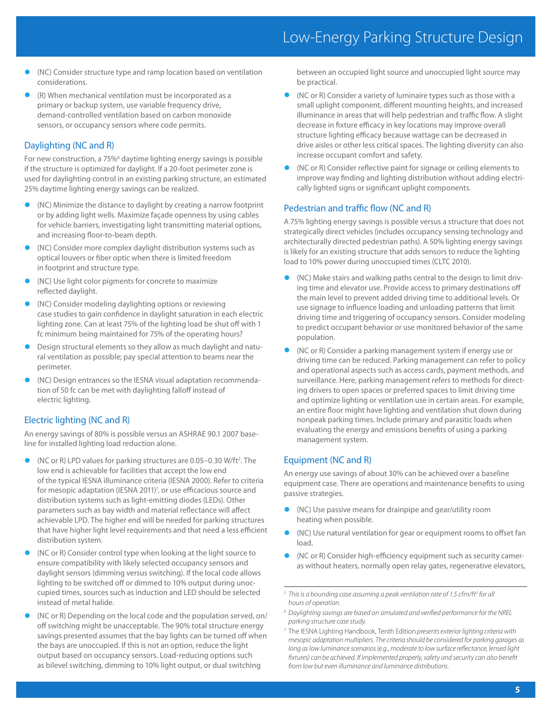- **•** (NC) Consider structure type and ramp location based on ventilation considerations.
- **•** (R) When mechanical ventilation must be incorporated as a primary or backup system, use variable frequency drive, demand-controlled ventilation based on carbon monoxide sensors, or occupancy sensors where code permits.

#### Daylighting (NC and R)

For new construction, a 75%<sup>6</sup> daytime lighting energy savings is possible if the structure is optimized for daylight. If a 20-foot perimeter zone is used for daylighting control in an existing parking structure, an estimated 25% daytime lighting energy savings can be realized.

- **•** (NC) Minimize the distance to daylight by creating a narrow footprint or by adding light wells. Maximize façade openness by using cables for vehicle barriers, investigating light transmitting material options, and increasing floor-to-beam depth.
- **•** (NC) Consider more complex daylight distribution systems such as optical louvers or fiber optic when there is limited freedom in footprint and structure type.
- **•** (NC) Use light color pigments for concrete to maximize reflected daylight.
- **•** (NC) Consider modeling daylighting options or reviewing case studies to gain confidence in daylight saturation in each electric lighting zone. Can at least 75% of the lighting load be shut off with 1 fc minimum being maintained for 75% of the operating hours?
- **•** Design structural elements so they allow as much daylight and natural ventilation as possible; pay special attention to beams near the perimeter.
- **•** (NC) Design entrances so the IESNA visual adaptation recommendation of 50 fc can be met with daylighting falloff instead of electric lighting.

#### Electric lighting (NC and R)

An energy savings of 80% is possible versus an ASHRAE 90.1 2007 baseline for installed lighting load reduction alone.

- (NC or R) LPD values for parking structures are 0.05–0.30 W/ft<sup>2</sup>. The low end is achievable for facilities that accept the low end of the typical IESNA illuminance criteria (IESNA 2000). Refer to criteria for mesopic adaptation (IESNA 2011)<sup>7</sup>, or use efficacious source and distribution systems such as light-emitting diodes (LEDs). Other parameters such as bay width and material reflectance will affect achievable LPD. The higher end will be needed for parking structures that have higher light level requirements and that need a less efficient distribution system.
- **•** (NC or R) Consider control type when looking at the light source to ensure compatibility with likely selected occupancy sensors and daylight sensors (dimming versus switching). If the local code allows lighting to be switched off or dimmed to 10% output during unoccupied times, sources such as induction and LED should be selected instead of metal halide.
- **•** (NC or R) Depending on the local code and the population served, on/ off switching might be unacceptable. The 90% total structure energy savings presented assumes that the bay lights can be turned off when the bays are unoccupied. If this is not an option, reduce the light output based on occupancy sensors. Load-reducing options such as bilevel switching, dimming to 10% light output, or dual switching

between an occupied light source and unoccupied light source may be practical.

- **•** (NC or R) Consider a variety of luminaire types such as those with a small uplight component, different mounting heights, and increased illuminance in areas that will help pedestrian and traffic flow. A slight decrease in fixture efficacy in key locations may improve overall structure lighting efficacy because wattage can be decreased in drive aisles or other less critical spaces. The lighting diversity can also increase occupant comfort and safety.
- **•** (NC or R) Consider reflective paint for signage or ceiling elements to improve way finding and lighting distribution without adding electrically lighted signs or significant uplight components.

#### Pedestrian and traffic flow (NC and R)

A 75% lighting energy savings is possible versus a structure that does not strategically direct vehicles (includes occupancy sensing technology and architecturally directed pedestrian paths). A 50% lighting energy savings is likely for an existing structure that adds sensors to reduce the lighting load to 10% power during unoccupied times (CLTC 2010).

- **•** (NC) Make stairs and walking paths central to the design to limit driving time and elevator use. Provide access to primary destinations off the main level to prevent added driving time to additional levels. Or use signage to influence loading and unloading patterns that limit driving time and triggering of occupancy sensors. Consider modeling to predict occupant behavior or use monitored behavior of the same population.
- **•** (NC or R) Consider a parking management system if energy use or driving time can be reduced. Parking management can refer to policy and operational aspects such as access cards, payment methods, and surveillance. Here, parking management refers to methods for directing drivers to open spaces or preferred spaces to limit driving time and optimize lighting or ventilation use in certain areas. For example, an entire floor might have lighting and ventilation shut down during nonpeak parking times. Include primary and parasitic loads when evaluating the energy and emissions benefits of using a parking management system.

#### Equipment (NC and R)

An energy use savings of about 30% can be achieved over a baseline equipment case. There are operations and maintenance benefits to using passive strategies.

- **•** (NC) Use passive means for drainpipe and gear/utility room heating when possible.
- **•** (NC) Use natural ventilation for gear or equipment rooms to offset fan load.
- **•** (NC or R) Consider high-efficiency equipment such as security cameras without heaters, normally open relay gates, regenerative elevators,

<sup>&</sup>lt;sup>5</sup> This is a bounding case assuming a peak ventilation rate of 1.5 cfm/ft<sup>2</sup> for all *hours of operation.*

*<sup>6</sup> Daylighting savings are based on simulated and verified performance for the NREL parking structure case study.*

*<sup>7</sup>* The IESNA Lighting Handbook, Tenth Edition *presents exterior lighting criteria with mesopic adaptation multipliers. The criteria should be considered for parking garages as long as low luminance scenarios (e.g., moderate to low surface reflectance, lensed light fixtures) can be achieved. If implemented properly, safety and security can also benefit from low but even illuminance and luminance distributions.*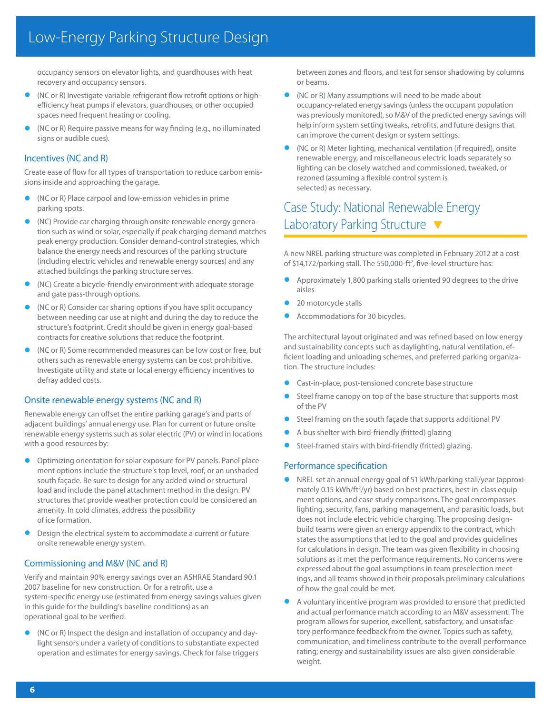# Low-Energy Parking Structure Design

occupancy sensors on elevator lights, and guardhouses with heat recovery and occupancy sensors.

- **•** (NC or R) Investigate variable refrigerant flow retrofit options or highefficiency heat pumps if elevators, guardhouses, or other occupied spaces need frequent heating or cooling.
- **•** (NC or R) Require passive means for way finding (e.g., no illuminated signs or audible cues).

#### Incentives (NC and R)

Create ease of flow for all types of transportation to reduce carbon emissions inside and approaching the garage.

- **•** (NC or R) Place carpool and low-emission vehicles in prime parking spots.
- **•** (NC) Provide car charging through onsite renewable energy generation such as wind or solar, especially if peak charging demand matches peak energy production. Consider demand-control strategies, which balance the energy needs and resources of the parking structure (including electric vehicles and renewable energy sources) and any attached buildings the parking structure serves.
- **•** (NC) Create a bicycle-friendly environment with adequate storage and gate pass-through options.
- **•** (NC or R) Consider car sharing options if you have split occupancy between needing car use at night and during the day to reduce the structure's footprint. Credit should be given in energy goal-based contracts for creative solutions that reduce the footprint.
- **•** (NC or R) Some recommended measures can be low cost or free, but others such as renewable energy systems can be cost prohibitive. Investigate utility and state or local energy efficiency incentives to defray added costs.

#### Onsite renewable energy systems (NC and R)

Renewable energy can offset the entire parking garage's and parts of adjacent buildings' annual energy use. Plan for current or future onsite renewable energy systems such as solar electric (PV) or wind in locations with a good resources by:

- **•** Optimizing orientation for solar exposure for PV panels. Panel placement options include the structure's top level, roof, or an unshaded south façade. Be sure to design for any added wind or structural load and include the panel attachment method in the design. PV structures that provide weather protection could be considered an amenity. In cold climates, address the possibility of ice formation.
- **•** Design the electrical system to accommodate a current or future onsite renewable energy system.

#### Commissioning and M&V (NC and R)

Verify and maintain 90% energy savings over an ASHRAE Standard 90.1 2007 baseline for new construction. Or for a retrofit, use a system-specific energy use (estimated from energy savings values given in this guide for the building's baseline conditions) as an operational goal to be verified.

**•** (NC or R) Inspect the design and installation of occupancy and daylight sensors under a variety of conditions to substantiate expected operation and estimates for energy savings. Check for false triggers between zones and floors, and test for sensor shadowing by columns or beams.

- **•** (NC or R) Many assumptions will need to be made about occupancy-related energy savings (unless the occupant population was previously monitored), so M&V of the predicted energy savings will help inform system setting tweaks, retrofits, and future designs that can improve the current design or system settings.
- **•** (NC or R) Meter lighting, mechanical ventilation (if required), onsite renewable energy, and miscellaneous electric loads separately so lighting can be closely watched and commissioned, tweaked, or rezoned (assuming a flexible control system is selected) as necessary.

## Case Study: National Renewable Energy Laboratory Parking Structure ▼

A new NREL parking structure was completed in February 2012 at a cost of \$14,172/parking stall. The 550,000-ft<sup>2</sup>, five-level structure has:

- **•** Approximately 1,800 parking stalls oriented 90 degrees to the drive aisles
- **•** 20 motorcycle stalls
- **•** Accommodations for 30 bicycles.

The architectural layout originated and was refined based on low energy and sustainability concepts such as daylighting, natural ventilation, efficient loading and unloading schemes, and preferred parking organization. The structure includes:

- **•** Cast-in-place, post-tensioned concrete base structure
- **•** Steel frame canopy on top of the base structure that supports most of the PV
- **•** Steel framing on the south façade that supports additional PV
- **•** A bus shelter with bird-friendly (fritted) glazing
- **•** Steel-framed stairs with bird-friendly (fritted) glazing.

#### Performance specification

- **•** NREL set an annual energy goal of 51 kWh/parking stall/year (approximately 0.15 kWh/ft<sup>2</sup>/yr) based on best practices, best-in-class equipment options, and case study comparisons. The goal encompasses lighting, security, fans, parking management, and parasitic loads, but does not include electric vehicle charging. The proposing designbuild teams were given an energy appendix to the contract, which states the assumptions that led to the goal and provides guidelines for calculations in design. The team was given flexibility in choosing solutions as it met the performance requirements. No concerns were expressed about the goal assumptions in team preselection meetings, and all teams showed in their proposals preliminary calculations of how the goal could be met.
- **•** A voluntary incentive program was provided to ensure that predicted and actual performance match according to an M&V assessment. The program allows for superior, excellent, satisfactory, and unsatisfactory performance feedback from the owner. Topics such as safety, communication, and timeliness contribute to the overall performance rating; energy and sustainability issues are also given considerable weight.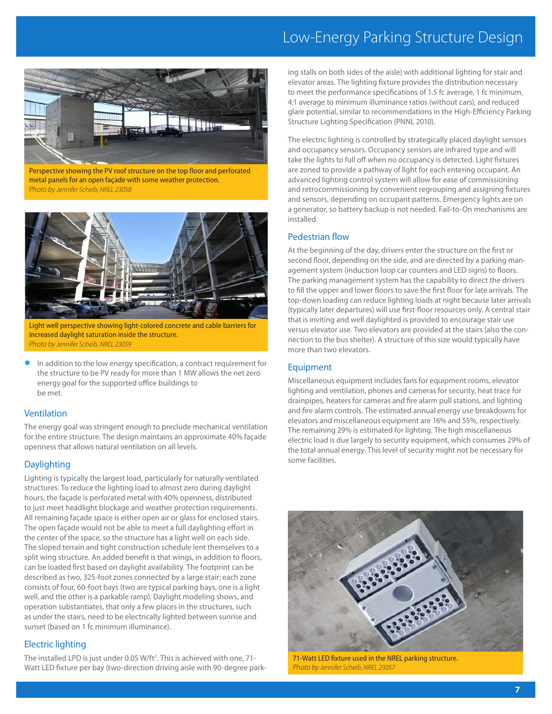# Low-Energy Parking Structure Design



Perspective showing the PV roof structure on the top floor and perforated metal panels for an open façade with some weather protection. *Photo by Jennifer Scheib, NREL 23058*



Light well perspective showing light-colored concrete and cable barriers for increased daylight saturation inside the structure. *Photo by Jennifer Scheib, NREL 23059*

**•** In addition to the low energy specification, a contract requirement for the structure to be PV ready for more than 1 MW allows the net zero energy goal for the supported office buildings to be met.

#### Ventilation

The energy goal was stringent enough to preclude mechanical ventilation for the entire structure. The design maintains an approximate 40% façade openness that allows natural ventilation on all levels.

#### Daylighting

Lighting is typically the largest load, particularly for naturally ventilated structures. To reduce the lighting load to almost zero during daylight hours, the façade is perforated metal with 40% openness, distributed to just meet headlight blockage and weather protection requirements. All remaining façade space is either open air or glass for enclosed stairs. The open façade would not be able to meet a full daylighting effort in the center of the space, so the structure has a light well on each side. The sloped terrain and tight construction schedule lent themselves to a split wing structure. An added benefit is that wings, in addition to floors, can be loaded first based on daylight availability. The footprint can be described as two, 325-foot zones connected by a large stair; each zone consists of four, 60-foot bays (two are typical parking bays, one is a light well, and the other is a parkable ramp). Daylight modeling shows, and operation substantiates, that only a few places in the structures, such as under the stairs, need to be electrically lighted between sunrise and sunset (based on 1 fc minimum illuminance).

#### Electric lighting

The installed LPD is just under 0.05 W/ft<sup>2</sup>. This is achieved with one, 71-Watt LED fixture per bay (two-direction driving aisle with 90-degree parking stalls on both sides of the aisle) with additional lighting for stair and elevator areas. The lighting fixture provides the distribution necessary to meet the performance specifications of 1.5 fc average, 1 fc minimum, 4:1 average to minimum illuminance ratios (without cars), and reduced glare potential, similar to recommendations in the High-Efficiency Parking Structure Lighting Specification (PNNL 2010).

The electric lighting is controlled by strategically placed daylight sensors and occupancy sensors. Occupancy sensors are infrared type and will take the lights to full off when no occupancy is detected. Light fixtures are zoned to provide a pathway of light for each entering occupant. An advanced lighting control system will allow for ease of commissioning and retrocommissioning by convenient regrouping and assigning fixtures and sensors, depending on occupant patterns. Emergency lights are on a generator, so battery backup is not needed. Fail-to-On mechanisms are installed.

#### Pedestrian flow

At the beginning of the day, drivers enter the structure on the first or second floor, depending on the side, and are directed by a parking management system (induction loop car counters and LED signs) to floors. The parking management system has the capability to direct the drivers to fill the upper and lower floors to save the first floor for late arrivals. The top-down loading can reduce lighting loads at night because later arrivals (typically later departures) will use first-floor resources only. A central stair that is inviting and well daylighted is provided to encourage stair use versus elevator use. Two elevators are provided at the stairs (also the connection to the bus shelter). A structure of this size would typically have more than two elevators.

#### Equipment

Miscellaneous equipment includes fans for equipment rooms, elevator lighting and ventilation, phones and cameras for security, heat trace for drainpipes, heaters for cameras and fire alarm pull stations, and lighting and fire alarm controls. The estimated annual energy use breakdowns for elevators and miscellaneous equipment are 16% and 55%, respectively. The remaining 29% is estimated for lighting. The high miscellaneous electric load is due largely to security equipment, which consumes 29% of the total annual energy. This level of security might not be necessary for some facilities.



71-Watt LED fixture used in the NREL parking structure. *Photo by Jennifer Scheib, NREL 23057*